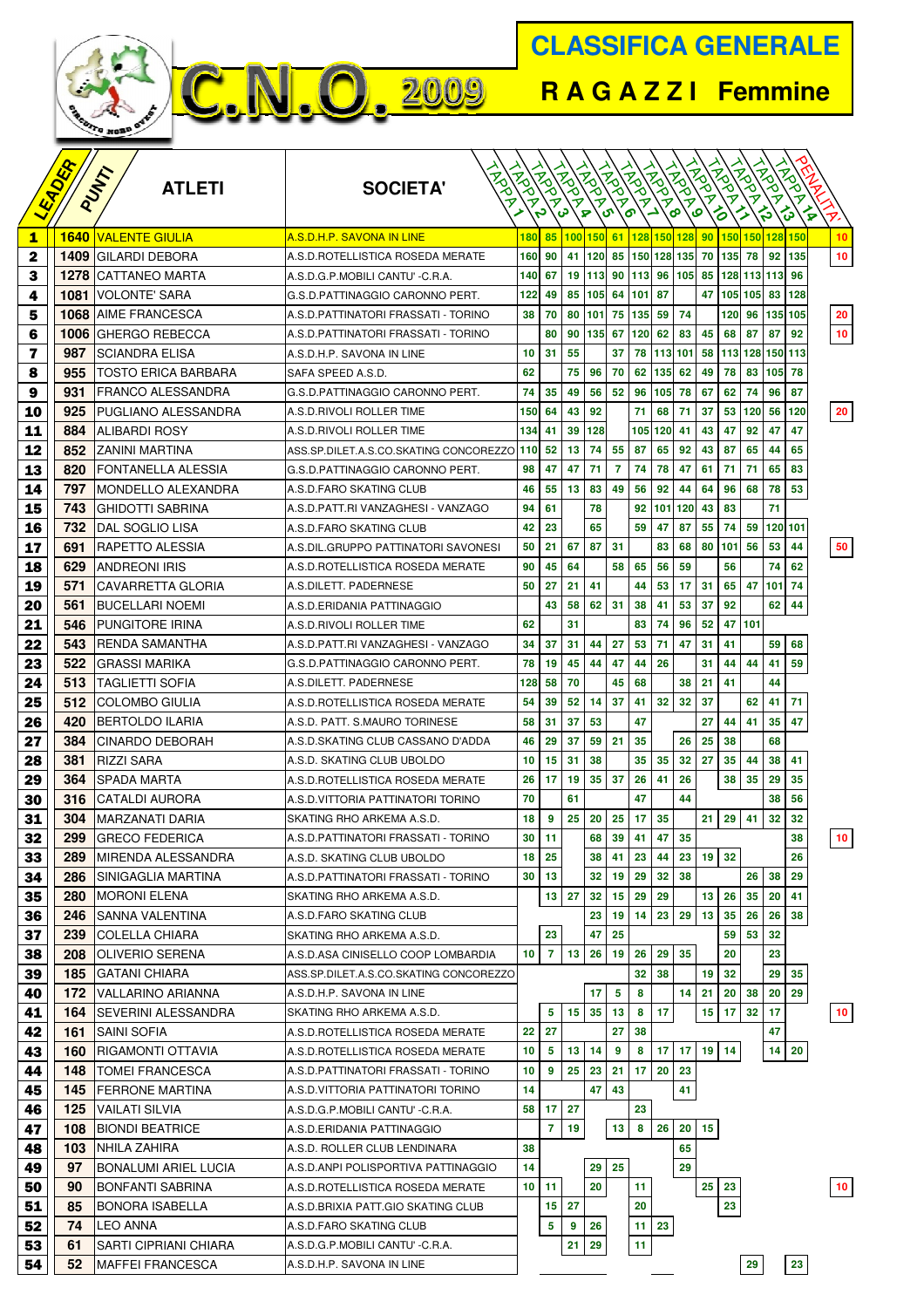

**R A G A Z Z I Femmine**

|          | EADER |                                             |                                                        |               |                |                  |       |                 |                |             |                 |                  |                 |                 |                                |              |                 |
|----------|-------|---------------------------------------------|--------------------------------------------------------|---------------|----------------|------------------|-------|-----------------|----------------|-------------|-----------------|------------------|-----------------|-----------------|--------------------------------|--------------|-----------------|
|          |       | <b>ATLETI</b>                               | <b>SOCIETA'</b>                                        |               |                |                  |       |                 |                |             |                 | Rock             | RIVER           | <b>FRONT</b>    | <b>INDOK</b>                   | <b>ANDRA</b> |                 |
|          |       | PUNT                                        |                                                        | <b>IRGRAN</b> | RIVER          | RIVER !          | RIVER | Fall            | <b>ANDROIM</b> | Fall        | RIVER 1         |                  |                 |                 |                                |              |                 |
|          |       |                                             |                                                        |               |                | မ                | ନ     | ີອາ             |                |             | စ               | ٯ                | る               |                 | ≽                              | ∕⋧<br>ਨ੍ਹ    | Î.              |
| 1        | 1640  | <u>VALENTE GIULIA</u>                       | <u>A.S.D.H.P. SAVONA IN LINE</u>                       | 180           | 85             | 100              | 150   | 61              | <b>128</b>     | 150 128     |                 | 90               | 150 150         |                 | 128 150                        |              | 10              |
| 2        | 1409  | <b>GILARDI DEBORA</b>                       | A.S.D. ROTELLISTICA ROSEDA MERATE                      | 160           | 90             | 41               | 120   | 85              |                | 150 128 135 |                 | 70               | 135             | 78              | 92                             | 135          | 10              |
| 3        | 1278  | CATTANEO MARTA                              | A.S.D.G.P.MOBILI CANTU' -C.R.A.                        | 140           | 67             | 19               | 113   | 90              | 113            | 96          | 105             | 85               | 128 113 113     |                 |                                | 96           |                 |
| 4        | 1081  | VOLONTE' SARA                               | G.S.D.PATTINAGGIO CARONNO PERT.                        | 122           | 49             | 85               | 105   | 64              | 101            | 87          |                 | 47               | 105             | 105             | 83                             | 128          |                 |
| 5        | 1068  | AIME FRANCESCA                              | A.S.D. PATTINATORI FRASSATI - TORINO                   | 38            | 70             | 80               | 101   | 75              | 135            | 59          | 74              |                  | 120             | 96              | 135 105                        |              | 20              |
| 6        | 1006  | <b>GHERGO REBECCA</b>                       | A.S.D. PATTINATORI FRASSATI - TORINO                   |               | 80             | 90               | 135   | 67              | 120            | 62          | 83              | 45               | 68              | 87              | 87                             | 92           | 10              |
| 7        | 987   | SCIANDRA ELISA                              | A.S.D.H.P. SAVONA IN LINE                              | 10            | 31             | 55               |       | 37              | 78             | 113         | 101             | 58               | 113             | 128             | 150 113                        |              |                 |
| 8        | 955   | TOSTO ERICA BARBARA                         | SAFA SPEED A.S.D.                                      | 62            |                | 75               | 96    | 70              | 62             | 135         | 62              | 49               | 78              | 83              | 105                            | 78           |                 |
| 9        | 931   | <b>FRANCO ALESSANDRA</b>                    | G.S.D.PATTINAGGIO CARONNO PERT.                        | 74            | 35             | 49               | 56    | 52              | 96             | 105         | 78              | 67               | 62              | 74              | 96                             | 87           |                 |
| 10       | 925   | PUGLIANO ALESSANDRA                         | A.S.D. RIVOLI ROLLER TIME                              | 150           | 64             | 43               | 92    |                 | 71             | 68          | 71              | 37               | 53              | 120             | 56                             | 120          | 20              |
| 11       | 884   | <b>ALIBARDI ROSY</b>                        | A.S.D.RIVOLI ROLLER TIME                               | 134           | 41             | 39               | 128   |                 | 105            | 120         | 41              | 43               | 47              | 92              | 47                             | 47           |                 |
| 12       | 852   | ZANINI MARTINA                              | ASS.SP.DILET.A.S.CO.SKATING CONCOREZZO 110             |               | 52             | 13               | 74    | 55              | 87             | 65          | 92              | 43               | 87              | 65              | 44                             | 65           |                 |
| 13       | 820   | FONTANELLA ALESSIA                          | G.S.D.PATTINAGGIO CARONNO PERT.                        | 98            | 47             | 47               | 71    | 7               | 74             | 78          | 47              | 61               | 71              | 71              | 65                             | 83           |                 |
| 14       | 797   | MONDELLO ALEXANDRA                          | A.S.D.FARO SKATING CLUB                                | 46            | 55             | 13               | 83    | 49              | 56             | 92          | 44              | 64               | 96              | 68              | 78                             | 53           |                 |
| 15       | 743   | GHIDOTTI SABRINA                            | A.S.D.PATT.RI VANZAGHESI - VANZAGO                     | 94            | 61             |                  | 78    |                 | 92             | 101         | 120             | 43               | 83              |                 | 71                             |              |                 |
| 16       | 732   | DAL SOGLIO LISA                             | A.S.D.FARO SKATING CLUB                                | 42            | 23             |                  | 65    |                 | 59             | 47          | 87              | 55               | 74              | 59              | 120 101                        |              |                 |
| 17       | 691   | RAPETTO ALESSIA                             | A.S.DIL.GRUPPO PATTINATORI SAVONESI                    | 50            | 21             | 67               | 87    | 31              |                | 83          | 68              | 80               | 101             | 56              | 53                             | 44           | 50              |
| 18       | 629   | <b>ANDREONI IRIS</b>                        | A.S.D. ROTELLISTICA ROSEDA MERATE                      | 90            | 45             | 64               |       | 58              | 65             | 56          | 59              |                  | 56              |                 | 74                             | 62           |                 |
| 19       | 571   | CAVARRETTA GLORIA                           | A.S.DILETT. PADERNESE                                  | 50            | 27             | 21               | 41    |                 | 44             | 53          | 17              | 31               | 65              | 47              | 101                            | 74           |                 |
| 20       | 561   | <b>BUCELLARI NOEMI</b>                      | A.S.D.ERIDANIA PATTINAGGIO                             |               | 43             | 58               | 62    | 31              | 38             | 41          | 53              | 37               | 92              |                 | 62                             | 44           |                 |
| 21       | 546   | <b>PUNGITORE IRINA</b>                      | A.S.D. RIVOLI ROLLER TIME                              | 62            |                | 31               |       |                 | 83             | 74          | 96              | 52               | 47              | 101             |                                |              |                 |
| 22       | 543   | RENDA SAMANTHA                              | A.S.D.PATT.RI VANZAGHESI - VANZAGO                     | 34            | 37             | 31               | 44    | 27              | 53             | 71          | 47              | 31               | 41              |                 | 59                             | 68           |                 |
| 23       | 522   | GRASSI MARIKA                               | G.S.D.PATTINAGGIO CARONNO PERT.                        | 78            | 19             | 45               | 44    | 47              | 44             | 26          |                 | 31               | 44              | 44              | 41                             | 59           |                 |
| 24       | 513   | TAGLIETTI SOFIA                             | A.S.DILETT. PADERNESE                                  | 128           | 58             | 70               |       | 45              | 68             |             | 38              | 21               | 41              |                 | 44                             |              |                 |
| 25       | 512   | <b>COLOMBO GIULIA</b>                       | A.S.D. ROTELLISTICA ROSEDA MERATE                      | 54            | 39             | 52               | 14    | 37              | 41             | 32          | 32              | 37               |                 | 62              | 41                             | 71           |                 |
| 26       | 420   | <b>BERTOLDO ILARIA</b>                      | A.S.D. PATT. S.MAURO TORINESE                          | 58            | 31             | 37               | 53    |                 | 47             |             |                 | 27               | 44              | 41              | 35                             | 47           |                 |
| 27       | 384   | CINARDO DEBORAH                             | A.S.D.SKATING CLUB CASSANO D'ADDA                      | 46            | 29             | 37               | 59    | 21              | 35             |             | 26              | 25               | 38              |                 | 68                             |              |                 |
| 28       | 381   | <b>RIZZI SARA</b>                           | A.S.D. SKATING CLUB UBOLDO                             | 10            | 15             | 31               | 38    |                 | 35             | 35          | 32              | 27               | 35              | 44              | 38                             | 41           |                 |
| 29       | 364   | SPADA MARTA                                 | A.S.D. ROTELLISTICA ROSEDA MERATE                      | 26            | 17             | 19               | 35    | 37              | 26             | 41          | 26              |                  | 38              | 35              | 29                             | 35           |                 |
| 30       | 316   | <b>CATALDI AURORA</b>                       | A.S.D.VITTORIA PATTINATORI TORINO                      | 70            |                | 61               |       |                 | 47             |             | 44              |                  |                 |                 | 38                             | 56           |                 |
| 31       | 304   | MARZANATI DARIA                             | SKATING RHO ARKEMA A.S.D.                              | 18            | 9              | 25               | 20    | 25              | 17             | 35          |                 | 21               | 29              | 41              | 32                             | 32           |                 |
| 32       | 299   | <b>GRECO FEDERICA</b>                       | A.S.D.PATTINATORI FRASSATI - TORINO                    | 30            | 11             |                  | 68    | 39              | 41             | 47          | 35              |                  |                 |                 |                                | 38           | 10              |
| 33       | 289   | <b>MIRENDA ALESSANDRA</b>                   | A.S.D. SKATING CLUB UBOLDO                             | 18            | 25             |                  | 38    | 41              | 23             | 44          | 23              |                  | 19 32           |                 |                                | 26           |                 |
| 34       | 286   | <b>SINIGAGLIA MARTINA</b>                   | A.S.D.PATTINATORI FRASSATI - TORINO                    | 30            | 13             |                  | 32    | 19              | 29             | 32          | 38              |                  |                 | 26              | 38                             | 29           |                 |
| 35       |       | 280   MORONI ELENA                          | SKATING RHO ARKEMA A.S.D.                              |               |                | 13 27            | 32    | 15              | 29             | 29          |                 | 13               | 26              | 35 <sub>5</sub> | 20                             | 41           |                 |
| 36       | 246   | <b>SANNA VALENTINA</b>                      | A.S.D.FARO SKATING CLUB                                |               |                |                  | 23    | 19              | 14             | 23          | 29              | 13               | 35              | 26              | 26                             | 38           |                 |
| 37       | 239   | <b>COLELLA CHIARA</b>                       | SKATING RHO ARKEMA A.S.D.                              | 10            | 23             |                  | 47    | 25              |                |             | 35              |                  | 59              | 53              | 32<br>23                       |              |                 |
| 38       | 208   | <b>OLIVERIO SERENA</b><br>185 GATANI CHIARA | A.S.D.ASA CINISELLO COOP LOMBARDIA                     |               | 7              | 13               | 26    | 19              | 26<br>32       | 29<br>38    |                 |                  | 20<br>32        |                 | 29                             | 35           |                 |
| 39       | 172   | VALLARINO ARIANNA                           | ASS.SP.DILET.A.S.CO.SKATING CONCOREZZO                 |               |                |                  | 17    | 5               | 8              |             | 14              | 19<br>21         | 20              | 38              | 20                             | 29           |                 |
| 40<br>41 | 164   | <b>SEVERINI ALESSANDRA</b>                  | A.S.D.H.P. SAVONA IN LINE<br>SKATING RHO ARKEMA A.S.D. |               | 5              | 15 <sub>15</sub> | 35    | 13              | 8              | 17          |                 | 15 <sub>15</sub> | 17 <sup>1</sup> | 32              | 17                             |              | 10 <sub>1</sub> |
|          | 161   | <b>SAINI SOFIA</b>                          | A.S.D. ROTELLISTICA ROSEDA MERATE                      | 22            | 27             |                  |       | 27              | 38             |             |                 |                  |                 |                 | 47                             |              |                 |
| 42<br>43 | 160   | <b>RIGAMONTI OTTAVIA</b>                    | A.S.D. ROTELLISTICA ROSEDA MERATE                      | 10            | 5              | 13 <sup>°</sup>  | 14    | 9               | 8              | 17          | 17              | $19 \mid 14$     |                 |                 | $14 \overline{\phantom{0}} 20$ |              |                 |
| 44       | 148   | <b>TOMEI FRANCESCA</b>                      | A.S.D.PATTINATORI FRASSATI - TORINO                    | 10            | 9              | 25               | 23    | 21              | 17             | 20          | 23              |                  |                 |                 |                                |              |                 |
| 45       |       | <b>145   FERRONE MARTINA</b>                | A.S.D.VITTORIA PATTINATORI TORINO                      | 14            |                |                  | 47    | 43              |                |             | 41              |                  |                 |                 |                                |              |                 |
| 46       | 125   | <b>VAILATI SILVIA</b>                       | A.S.D.G.P.MOBILI CANTU' -C.R.A.                        | 58            | 17             | 27               |       |                 | 23             |             |                 |                  |                 |                 |                                |              |                 |
| 47       |       | <b>108 BIONDI BEATRICE</b>                  | A.S.D.ERIDANIA PATTINAGGIO                             |               | $\overline{7}$ | 19               |       | 13 <sup>°</sup> | 8              | 26          | 20 <sub>1</sub> | 15               |                 |                 |                                |              |                 |
| 48       |       | <b>103   NHILA ZAHIRA</b>                   | A.S.D. ROLLER CLUB LENDINARA                           | 38            |                |                  |       |                 |                |             | 65              |                  |                 |                 |                                |              |                 |
| 49       | 97    | BONALUMI ARIEL LUCIA                        | A.S.D.ANPI POLISPORTIVA PATTINAGGIO                    | 14            |                |                  | 29    | 25              |                |             | 29              |                  |                 |                 |                                |              |                 |
| 50       | 90    | BONFANTI SABRINA                            | A.S.D. ROTELLISTICA ROSEDA MERATE                      | 10            | 11             |                  | 20    |                 | 11             |             |                 | 25               | 23              |                 |                                |              | 10 <sub>1</sub> |
| 51       | 85    | <b>BONORA ISABELLA</b>                      | A.S.D.BRIXIA PATT.GIO SKATING CLUB                     |               | 15             | 27               |       |                 | 20             |             |                 |                  | 23              |                 |                                |              |                 |
| 52       | 74    | LEO ANNA                                    | A.S.D.FARO SKATING CLUB                                |               | 5              | 9                | 26    |                 | 11             | 23          |                 |                  |                 |                 |                                |              |                 |
| 53       | 61    | SARTI CIPRIANI CHIARA                       | A.S.D.G.P.MOBILI CANTU' -C.R.A.                        |               |                | 21               | 29    |                 | 11             |             |                 |                  |                 |                 |                                |              |                 |
| 54       | 52    | <b>MAFFEI FRANCESCA</b>                     | A.S.D.H.P. SAVONA IN LINE                              |               |                |                  |       |                 |                |             |                 |                  |                 | 29              |                                | 23           |                 |
|          |       |                                             |                                                        |               |                |                  |       |                 |                |             |                 |                  |                 |                 |                                |              |                 |

**C.N.O. 2009**